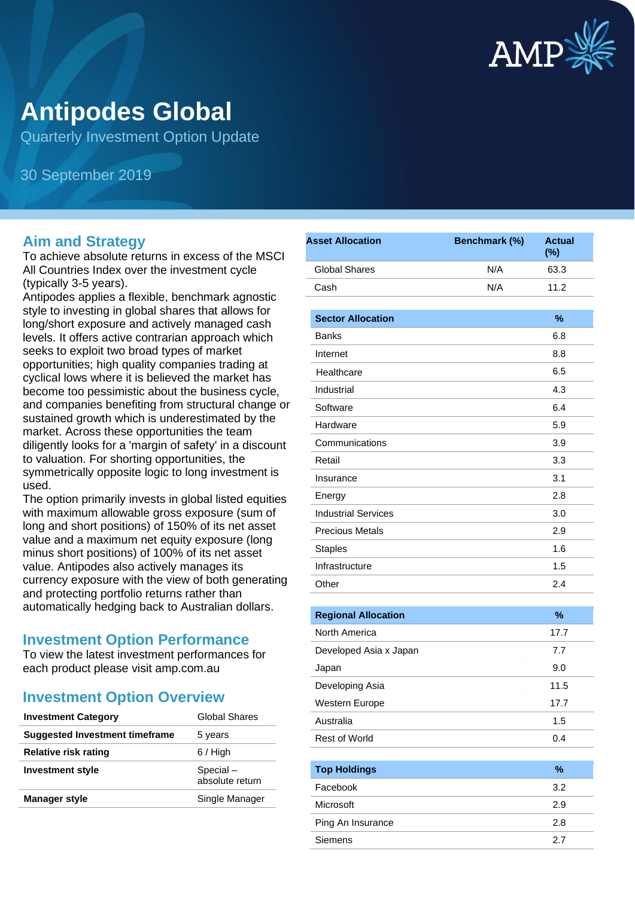

# **Antipodes Global**

Quarterly Investment Option Update

30 September 2019

#### **Aim and Strategy**

To achieve absolute returns in excess of the MSCI All Countries Index over the investment cycle (typically 3-5 years).

Antipodes applies a flexible, benchmark agnostic style to investing in global shares that allows for long/short exposure and actively managed cash levels. It offers active contrarian approach which seeks to exploit two broad types of market opportunities; high quality companies trading at cyclical lows where it is believed the market has become too pessimistic about the business cycle, and companies benefiting from structural change or sustained growth which is underestimated by the market. Across these opportunities the team diligently looks for a 'margin of safety' in a discount to valuation. For shorting opportunities, the symmetrically opposite logic to long investment is used.

The option primarily invests in global listed equities with maximum allowable gross exposure (sum of long and short positions) of 150% of its net asset value and a maximum net equity exposure (long minus short positions) of 100% of its net asset value. Antipodes also actively manages its currency exposure with the view of both generating and protecting portfolio returns rather than automatically hedging back to Australian dollars.

#### **Investment Option Performance**

To view the latest investment performances for each product please visit amp.com.au

## **Investment Option Overview**

| <b>Investment Category</b>     | Global Shares               |
|--------------------------------|-----------------------------|
| Suggested Investment timeframe | 5 years                     |
| Relative risk rating           | $6/$ High                   |
| <b>Investment style</b>        | Special-<br>absolute return |
| <b>Manager style</b>           | Single Manager              |
|                                |                             |

| <b>Asset Allocation</b>    | Benchmark (%) | <b>Actual</b><br>$(\%)$ |
|----------------------------|---------------|-------------------------|
| <b>Global Shares</b>       | N/A           | 63.3                    |
| Cash                       | N/A           | 11.2                    |
| <b>Sector Allocation</b>   |               | $\%$                    |
| <b>Banks</b>               |               | 6.8                     |
| Internet                   |               | 8.8                     |
| Healthcare                 |               | 6.5                     |
| Industrial                 |               | 4.3                     |
| Software                   |               | 6.4                     |
| Hardware                   |               | 5.9                     |
| Communications             |               | 3.9                     |
| Retail                     |               | 3.3                     |
| Insurance                  |               | 3.1                     |
| Energy                     |               | 2.8                     |
| <b>Industrial Services</b> |               | 3.0                     |
| <b>Precious Metals</b>     |               | 2.9                     |
| <b>Staples</b>             |               | 1.6                     |
| Infrastructure             |               | 1.5                     |
| Other                      |               | 2.4                     |
|                            |               |                         |
| <b>Regional Allocation</b> |               | %                       |
| North America              |               | 17.7                    |
| Developed Asia x Japan     |               | 7.7                     |
| Japan                      |               | 9.0                     |
| Developing Asia            |               | 11.5                    |
| Western Europe             |               | 17.7                    |
| Australia                  |               | 1.5                     |
| Rest of World              |               | 0.4                     |
| <b>Top Holdings</b>        |               | $\%$                    |
| Facebook                   |               | 3.2                     |
| Microsoft                  |               | 2.9                     |
| Ping An Insurance          |               | 2.8                     |
| Siemens                    |               | 2.7                     |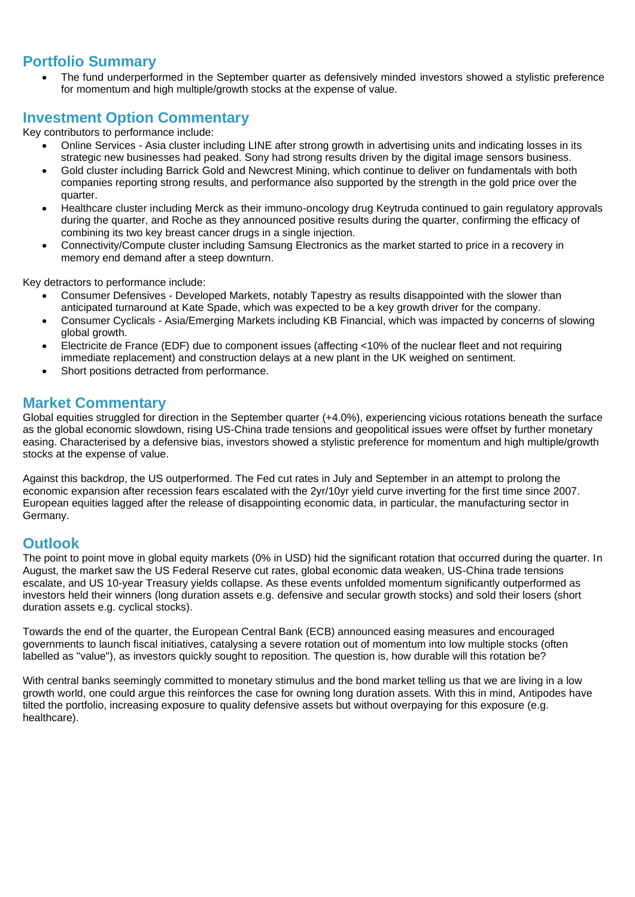### **Portfolio Summary**

• The fund underperformed in the September quarter as defensively minded investors showed a stylistic preference for momentum and high multiple/growth stocks at the expense of value.

#### **Investment Option Commentary**

Key contributors to performance include:

- Online Services Asia cluster including LINE after strong growth in advertising units and indicating losses in its strategic new businesses had peaked. Sony had strong results driven by the digital image sensors business.
- Gold cluster including Barrick Gold and Newcrest Mining, which continue to deliver on fundamentals with both companies reporting strong results, and performance also supported by the strength in the gold price over the quarter.
- Healthcare cluster including Merck as their immuno-oncology drug Keytruda continued to gain regulatory approvals during the quarter, and Roche as they announced positive results during the quarter, confirming the efficacy of combining its two key breast cancer drugs in a single injection.
- Connectivity/Compute cluster including Samsung Electronics as the market started to price in a recovery in memory end demand after a steep downturn.

Key detractors to performance include:

- Consumer Defensives Developed Markets, notably Tapestry as results disappointed with the slower than anticipated turnaround at Kate Spade, which was expected to be a key growth driver for the company.
- Consumer Cyclicals Asia/Emerging Markets including KB Financial, which was impacted by concerns of slowing global growth.
- Electricite de France (EDF) due to component issues (affecting <10% of the nuclear fleet and not requiring immediate replacement) and construction delays at a new plant in the UK weighed on sentiment.
- Short positions detracted from performance.

### **Market Commentary**

Global equities struggled for direction in the September quarter (+4.0%), experiencing vicious rotations beneath the surface as the global economic slowdown, rising US-China trade tensions and geopolitical issues were offset by further monetary easing. Characterised by a defensive bias, investors showed a stylistic preference for momentum and high multiple/growth stocks at the expense of value.

Against this backdrop, the US outperformed. The Fed cut rates in July and September in an attempt to prolong the economic expansion after recession fears escalated with the 2yr/10yr yield curve inverting for the first time since 2007. European equities lagged after the release of disappointing economic data, in particular, the manufacturing sector in Germany.

#### **Outlook**

The point to point move in global equity markets (0% in USD) hid the significant rotation that occurred during the quarter. In August, the market saw the US Federal Reserve cut rates, global economic data weaken, US-China trade tensions escalate, and US 10-year Treasury yields collapse. As these events unfolded momentum significantly outperformed as investors held their winners (long duration assets e.g. defensive and secular growth stocks) and sold their losers (short duration assets e.g. cyclical stocks).

Towards the end of the quarter, the European Central Bank (ECB) announced easing measures and encouraged governments to launch fiscal initiatives, catalysing a severe rotation out of momentum into low multiple stocks (often labelled as "value"), as investors quickly sought to reposition. The question is, how durable will this rotation be?

With central banks seemingly committed to monetary stimulus and the bond market telling us that we are living in a low growth world, one could argue this reinforces the case for owning long duration assets. With this in mind, Antipodes have tilted the portfolio, increasing exposure to quality defensive assets but without overpaying for this exposure (e.g. healthcare).